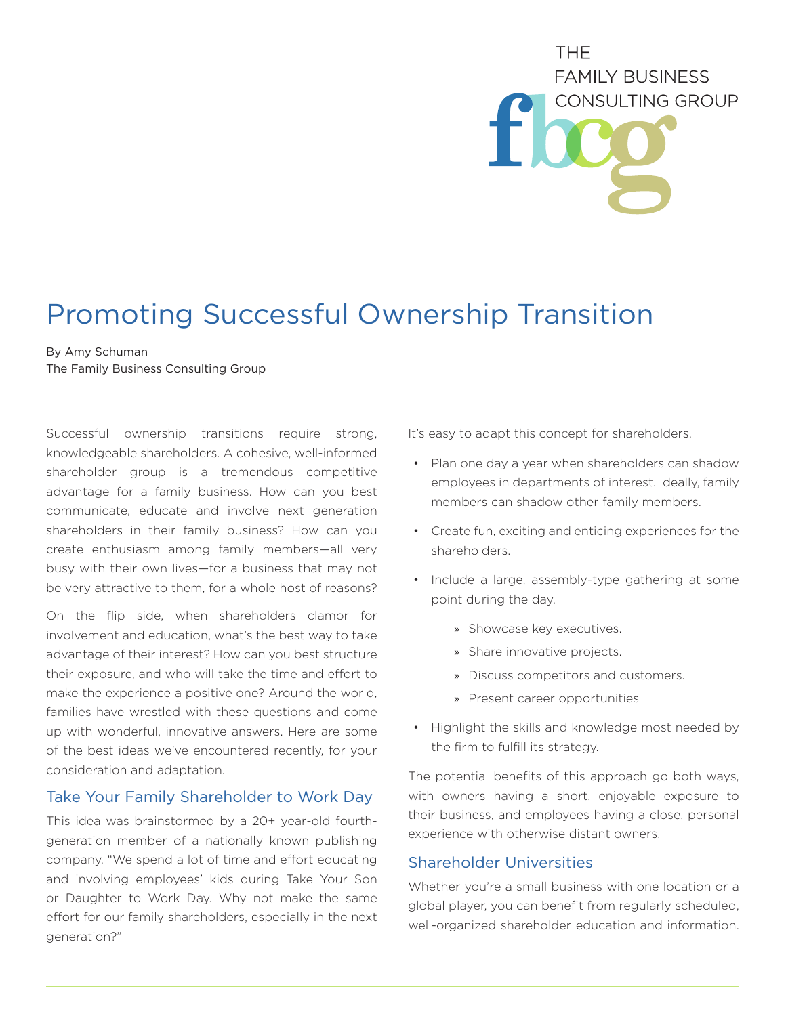# THE. **FAMILY BUSINESS** CONSULTING GROUP

## Promoting Successful Ownership Transition

### By Amy Schuman

The Family Business Consulting Group

Successful ownership transitions require strong, knowledgeable shareholders. A cohesive, well-informed shareholder group is a tremendous competitive advantage for a family business. How can you best communicate, educate and involve next generation shareholders in their family business? How can you create enthusiasm among family members—all very busy with their own lives—for a business that may not be very attractive to them, for a whole host of reasons?

On the flip side, when shareholders clamor for involvement and education, what's the best way to take advantage of their interest? How can you best structure their exposure, and who will take the time and effort to make the experience a positive one? Around the world, families have wrestled with these questions and come up with wonderful, innovative answers. Here are some of the best ideas we've encountered recently, for your consideration and adaptation.

#### Take Your Family Shareholder to Work Day

This idea was brainstormed by a 20+ year-old fourthgeneration member of a nationally known publishing company. "We spend a lot of time and effort educating and involving employees' kids during Take Your Son or Daughter to Work Day. Why not make the same effort for our family shareholders, especially in the next generation?"

It's easy to adapt this concept for shareholders.

- Plan one day a year when shareholders can shadow employees in departments of interest. Ideally, family members can shadow other family members.
- Create fun, exciting and enticing experiences for the shareholders.
- Include a large, assembly-type gathering at some point during the day.
	- » Showcase key executives.
	- » Share innovative projects.
	- » Discuss competitors and customers.
	- » Present career opportunities
- Highlight the skills and knowledge most needed by the firm to fulfill its strategy.

The potential benefits of this approach go both ways, with owners having a short, enjoyable exposure to their business, and employees having a close, personal experience with otherwise distant owners.

#### Shareholder Universities

Whether you're a small business with one location or a global player, you can benefit from regularly scheduled, well-organized shareholder education and information.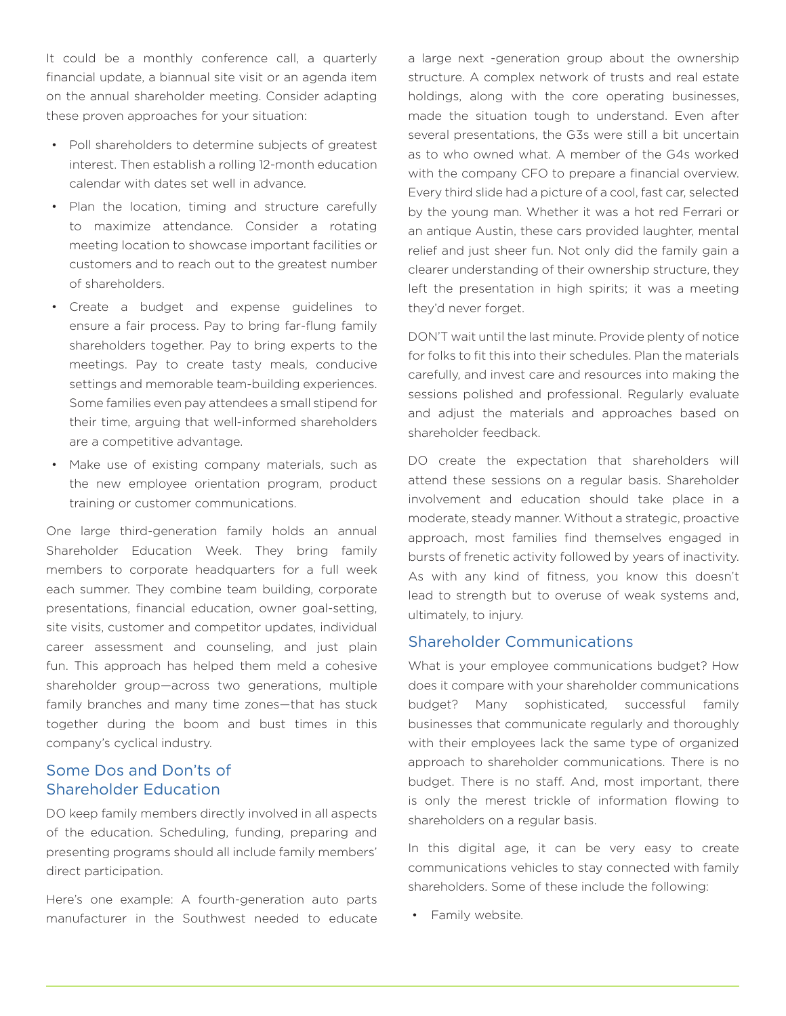It could be a monthly conference call, a quarterly financial update, a biannual site visit or an agenda item on the annual shareholder meeting. Consider adapting these proven approaches for your situation:

- Poll shareholders to determine subjects of greatest interest. Then establish a rolling 12-month education calendar with dates set well in advance.
- Plan the location, timing and structure carefully to maximize attendance. Consider a rotating meeting location to showcase important facilities or customers and to reach out to the greatest number of shareholders.
- Create a budget and expense guidelines to ensure a fair process. Pay to bring far-flung family shareholders together. Pay to bring experts to the meetings. Pay to create tasty meals, conducive settings and memorable team-building experiences. Some families even pay attendees a small stipend for their time, arguing that well-informed shareholders are a competitive advantage.
- Make use of existing company materials, such as the new employee orientation program, product training or customer communications.

One large third-generation family holds an annual Shareholder Education Week. They bring family members to corporate headquarters for a full week each summer. They combine team building, corporate presentations, financial education, owner goal-setting, site visits, customer and competitor updates, individual career assessment and counseling, and just plain fun. This approach has helped them meld a cohesive shareholder group—across two generations, multiple family branches and many time zones—that has stuck together during the boom and bust times in this company's cyclical industry.

#### Some Dos and Don'ts of Shareholder Education

DO keep family members directly involved in all aspects of the education. Scheduling, funding, preparing and presenting programs should all include family members' direct participation.

Here's one example: A fourth-generation auto parts manufacturer in the Southwest needed to educate a large next -generation group about the ownership structure. A complex network of trusts and real estate holdings, along with the core operating businesses, made the situation tough to understand. Even after several presentations, the G3s were still a bit uncertain as to who owned what. A member of the G4s worked with the company CFO to prepare a financial overview. Every third slide had a picture of a cool, fast car, selected by the young man. Whether it was a hot red Ferrari or an antique Austin, these cars provided laughter, mental relief and just sheer fun. Not only did the family gain a clearer understanding of their ownership structure, they left the presentation in high spirits; it was a meeting they'd never forget.

DON'T wait until the last minute. Provide plenty of notice for folks to fit this into their schedules. Plan the materials carefully, and invest care and resources into making the sessions polished and professional. Regularly evaluate and adjust the materials and approaches based on shareholder feedback.

DO create the expectation that shareholders will attend these sessions on a regular basis. Shareholder involvement and education should take place in a moderate, steady manner. Without a strategic, proactive approach, most families find themselves engaged in bursts of frenetic activity followed by years of inactivity. As with any kind of fitness, you know this doesn't lead to strength but to overuse of weak systems and, ultimately, to injury.

#### Shareholder Communications

What is your employee communications budget? How does it compare with your shareholder communications budget? Many sophisticated, successful family businesses that communicate regularly and thoroughly with their employees lack the same type of organized approach to shareholder communications. There is no budget. There is no staff. And, most important, there is only the merest trickle of information flowing to shareholders on a regular basis.

In this digital age, it can be very easy to create communications vehicles to stay connected with family shareholders. Some of these include the following:

• Family website.